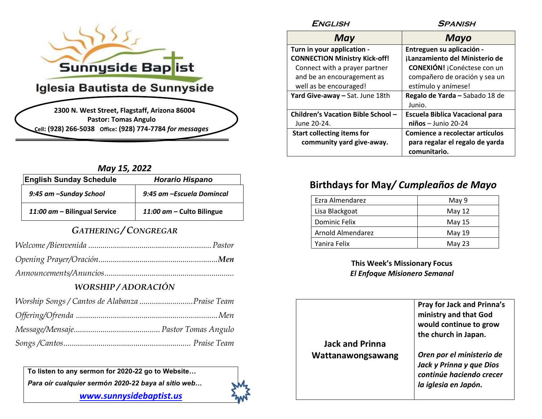

### **Iglesia Bautista de Sunnyside**

**2300 N. West Street, Flagstaff, Arizona 86004 Pastor: Tomas Angulo Cell: (928) 266-5038 Office: (928) 774-7784** *for messages*

#### *May 15, 2022*

| <b>English Sunday Schedule</b> | <b>Horario Hispano</b>    |
|--------------------------------|---------------------------|
| 9:45 am -Sunday School         | 9:45 am -Escuela Domincal |
| 11:00 am - Bilingual Service   | 11:00 am - Culto Bilingue |

#### *GATHERING / CONGREGAR*

#### *WORSHIP / ADORACIÓN*

**To listen to any sermon for 2020-22 go to Website…** *Para oír cualquier sermón 2020-22 baya al sitio web…* 

*[www.sunnysidebaptist.us](http://www.sunnysidebaptist.us/)*



| <b>ENGLISH</b>                       | <b>SPANISH</b>                         |
|--------------------------------------|----------------------------------------|
| May                                  | Mayo                                   |
| Turn in your application -           | Entreguen su aplicación -              |
| <b>CONNECTION Ministry Kick-off!</b> | iLanzamiento del Ministerio de         |
| Connect with a prayer partner        | <b>CONEXIÓN!</b> ¡Conéctese con un     |
| and be an encouragement as           | compañero de oración y sea un          |
| well as be encouraged!               | estímulo y anímese!                    |
| Yard Give-away - Sat. June 18th      | Regalo de Yarda - Sabado 18 de         |
|                                      | Junio.                                 |
| Children's Vacation Bible School -   | <b>Escuela Biblica Vacacional para</b> |
| June 20-24.                          | $niños - Junio 20-24$                  |
| <b>Start collecting items for</b>    | Comience a recolectar artículos        |
| community yard give-away.            | para regalar el regalo de yarda        |
|                                      | comunitario.                           |

#### **Birthdays for May***/ Cumpleaños de Mayo*

| Ezra Almendarez   | May 9  |
|-------------------|--------|
| Lisa Blackgoat    | May 12 |
| Dominic Felix     | May 15 |
| Arnold Almendarez | May 19 |
| Yanira Felix      | May 23 |

**This Week's Missionary Focus**  *El Enfoque Misionero Semanal*